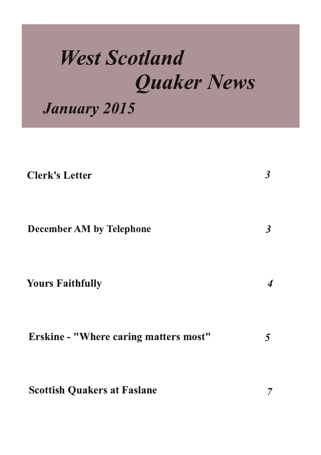# **West Scotland Quaker News**

**January 2015** 

| <b>Clerk's Letter</b>                        | $\boldsymbol{\beta}$     |
|----------------------------------------------|--------------------------|
| <b>December AM by Telephone</b>              | $\boldsymbol{\beta}$     |
| <b>Yours Faithfully</b>                      | $\overline{\mathcal{A}}$ |
| <b>Erskine - "Where caring matters most"</b> | 5                        |
| <b>Scottish Quakers at Faslane</b>           | 7                        |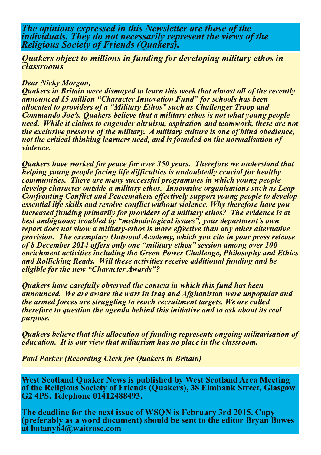The opinions expressed in this Newsletter are those of the individuals. They do not necessarily represent the views of the **Religious Society of Friends (Ouakers).** 

**Ouakers object to millions in funding for developing military ethos in** *<u><b><u>dassrooms</u>*</u>

#### **Dear Nicky Morgan,**

Quakers in Britain were dismayed to learn this week that almost all of the recently announced £5 million "Character Innovation Fund" for schools has been allocated to providers of a "Military Ethos" such as Challenger Troop and Commando Joe's. Quakers believe that a military ethos is not what young people need. While it claims to engender altruism, aspiration and teamwork, these are not the exclusive preserve of the military. A military culture is one of blind obedience, not the critical thinking learners need, and is founded on the normalisation of *violence*.

Quakers have worked for peace for over 350 years. Therefore we understand that helping voung people facing life difficulties is undoubtedly crucial for healthy communities. There are many successful programmes in which young people develop character outside a military ethos. Innovative organisations such as Leap **Confronting Conflict and Peacemakers effectively support young people to develop** essential life skills and resolve conflict without violence. Why therefore have you increased funding primarily for providers of a military ethos? The evidence is at best ambiguous; troubled by "methodological issues", your department's own report does not show a military-ethos is more effective than any other alternative provision. The exemplary Outwood Academy, which you cite in your press release of 8 December 2014 offers only one "military ethos" session among over 100 enrichment activities including the Green Power Challenge, Philosophy and Ethics and Rollicking Reads. Will these activities receive additional funding and be eligible for the new "Character Awards"?

Quakers have carefully observed the context in which this fund has been announced. We are aware the wars in Iraq and Afghanistan were unpopular and the armed forces are struggling to reach recruitment targets. We are called therefore to question the agenda behind this initiative and to ask about its real purpose.

Quakers believe that this allocation of funding represents ongoing militarisation of education. It is our view that militarism has no place in the classroom.

**Paul Parker (Recording Clerk for Quakers in Britain)** 

West Scotland Quaker News is published by West Scotland Area Meeting of the Religious Society of Friends (Quakers), 38 Elmbank Street, Glasgow G<sub>2</sub> 4PS. Telephone 01412488493.

The deadline for the next issue of WSON is February 3rd 2015. Copy (preferably as a word document) should be sent to the editor Bryan Bowes at botany64@waitrose.com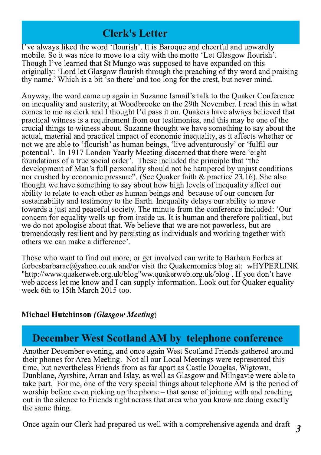## **Clerk's Letter**

I've always liked the word 'flourish'. It is Baroque and cheerful and upwardly mobile. So it was nice to move to a city with the motto 'Let Glasgow flourish'. Though I've learned that St Mungo was supposed to have expanded on this originally: 'Lord let Glasgow flourish through the preaching of thy word and praising thy name.' Which is a bit 'so there' and too long for the crest, but never mind.

Anyway, the word came up again in Suzanne Ismail's talk to the Quaker Conference on inequality and austerity, at Woodbrooke on the 29th November. I read this in what comes to me as clerk and I thought I'd pass it on. Quakers have always believed that practical witness is a requirement from our testimonies, and this may be one of the crucial things to witness about. Suzanne thought we have something to say about the actual, material and practical impact of economic inequality, as it affects whether or not we are able to 'flourish' as human beings, 'live adventurously' or 'fulfil our potential'. In 1917 London Yearly Meeting discerned that there were 'eight foundations of a true social order<sup>5</sup>. These included the principle that "the development of Man's full personality should not be hampered by unjust conditions nor crushed by economic pressure". (See Quaker faith & practice 23.16). She also thought we have something to say about how high levels of inequality affect our ability to relate to each other as human beings and because of our concern for sustainability and testimony to the Earth. Inequality delays our ability to move towards a just and peaceful society. The minute from the conference included: 'Our concern for equality wells up from inside us. It is human and therefore political, but we do not applogise about that. We believe that we are not powerless, but are tremendously resilient and by persisting as individuals and working together with others we can make a difference'.

Those who want to find out more, or get involved can write to Barbara Forbes at forbesbarbarae@yahoo.co.uk and/or visit the Quakernomics blog at: wHYPERLINK "http://www.quakerweb.org.uk/blog"ww.quakerweb.org.uk/blog. If you don't have web access let me know and I can supply information. Look out for Quaker equality week 6th to 15th March 2015 too.

#### **Michael Hutchinson (Glasgow Meeting)**

# **December West Scotland AM by telephone conference**

Another December evening, and once again West Scotland Friends gathered around their phones for Area Meeting. Not all our Local Meetings were represented this time, but nevertheless Friends from as far apart as Castle Douglas, Wigtown, Dunblane, Ayrshire, Arran and Islay, as well as Glasgow and Milngavie were able to take part. For me, one of the very special things about telephone AM is the period of worship before even picking up the phone – that sense of joining with and reaching out in the silence to Friends right across that area who you know are doing exactly the same thing.

Once again our Clerk had prepared us well with a comprehensive agenda and draft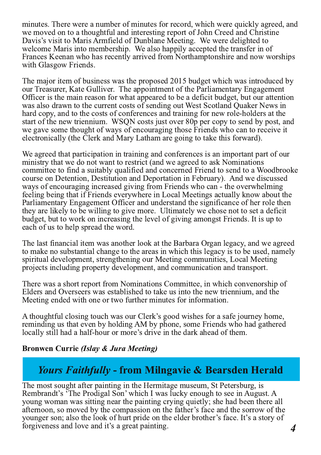minutes. There were a number of minutes for record, which were quickly agreed, and we moved on to a thoughtful and interesting report of John Creed and Christine Davis's visit to Maris Armfield of Dunblane Meeting. We were delighted to welcome Maris into membership. We also happily accepted the transfer in of Frances Keenan who has recently arrived from Northamptonshire and now worships with Glasgow Friends.

The major item of business was the proposed 2015 budget which was introduced by our Treasurer, Kate Gulliver. The appointment of the Parliamentary Engagement Officer is the main reason for what appeared to be a deficit budget, but our attention was also drawn to the current costs of sending out West Scotland Quaker News in hard copy, and to the costs of conferences and training for new role-holders at the start of the new triennium. WSON costs just over 80p per copy to send by post, and we gave some thought of ways of encouraging those Friends who can to receive it electronically (the Clerk and Mary Latham are going to take this forward).

We agreed that participation in training and conferences is an important part of our ministry that we do not want to restrict (and we agreed to ask Nominations committee to find a suitably qualified and concerned Friend to send to a Woodbrooke course on Detention, Destitution and Deportation in February). And we discussed ways of encouraging increased giving from Friends who can - the overwhelming feeling being that if Friends everywhere in Local Meetings actually know about the Parliamentary Engagement Officer and understand the significance of her role then they are likely to be willing to give more. Ultimately we chose not to set a deficit budget, but to work on increasing the level of giving amongst Friends. It is up to each of us to help spread the word.

The last financial item was another look at the Barbara Organ legacy, and we agreed to make no substantial change to the areas in which this legacy is to be used, namely spiritual development, strengthening our Meeting communities, Local Meeting projects including property development, and communication and transport.

There was a short report from Nominations Committee, in which convenorship of Elders and Overseers was established to take us into the new triennium, and the Meeting ended with one or two further minutes for information.

A thoughtful closing touch was our Clerk's good wishes for a safe journey home, reminding us that even by holding AM by phone, some Friends who had gathered locally still had a half-hour or more's drive in the dark ahead of them.

#### **Bronwen Currie (Islay & Jura Meeting)**

# *Yours Faithfully* - from Milngavie & Bearsden Herald

The most sought after painting in the Hermitage museum, St Petersburg, is Rembrandt's 'The Prodigal Son' which I was lucky enough to see in August. A young woman was sitting near the painting crying quietly; she had been there all afternoon, so moved by the compassion on the father's face and the sorrow of the younger son; also the look of hurt pride on the elder brother's face. It's a story of forgiveness and love and it's a great painting.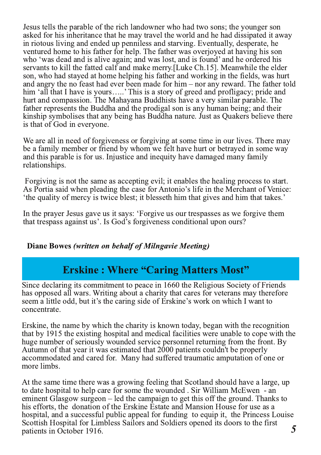Jesus tells the parable of the rich landowner who had two sons; the younger son asked for his inheritance that he may travel the world and he had dissipated it away in riotous living and ended up penniless and starving. Eventually, desperate, he ventured home to his father for help. The father was overjoyed at having his son who 'was dead and is alive again; and was lost, and is found' and he ordered his servants to kill the fatted calf and make merry.[Luke Ch.15]. Meanwhile the elder son, who had stayed at home helping his father and working in the fields, was hurt and angry the no feast had ever been made for him – nor any reward. The father told him 'all that I have is yours……' This is a story of greed and profligacy; pride and . hurt and compassion. The Mahayana Buddhists have a very similar parable. The father represents the Buddha and the prodigal son is any human being; and their kinship symbolises that any being has Buddha nature. Just as Quakers believe there is that of God in everyone.

We are all in need of forgiveness or forgiving at some time in our lives. There may be a family member or friend by whom we felt have hurt or betrayed in some way and this parable is for us. Injustice and inequity have damaged many family relationships.

Forgiving is not the same as accepting evil; it enables the healing process to start. As Portia said when pleading the case for Antonio's life in the Merchant of Venice: the quality of mercy is twice blest; it blesseth him that gives and him that takes.

In the prayer Jesus gave us it says: 'Forgive us our trespasses as we forgive them that trespass against us'. Is God's forgiveness conditional upon ours?

#### Diane Bowes (written on behalf of Milngavie Meeting)

# **Erskine: Where "Caring Matters Most"**

Since declaring its commitment to peace in 1660 the Religious Society of Friends has opposed all wars. Writing about a charity that cares for veterans may therefore seem a little odd, but it's the caring side of Erskine's work on which I want to concentrate.

Erskine, the name by which the charity is known today, began with the recognition that by 1915 the existing hospital and medical facilities were unable to cope with the huge number of seriously wounded service personnel returning from the front. By Autumn of that year it was estimated that 2000 patients couldn't be properly accommodated and cared for. Many had suffered traumatic amputation of one or more limbs.

At the same time there was a growing feeling that Scotland should have a large, up to date hospital to help care for some the wounded . Sir William McEwen - an eminent Glasgow surgeon – led the campaign to get this off the ground. Thanks to his efforts, the donation of the Erskine Estate and Mansion House for use as a hospital, and a successful public appeal for funding to equip it, the Princess Louise Scottish Hospital for Limbless Sailors and Soldiers opened its doors to the first patients in October 1916.  $\sim$  5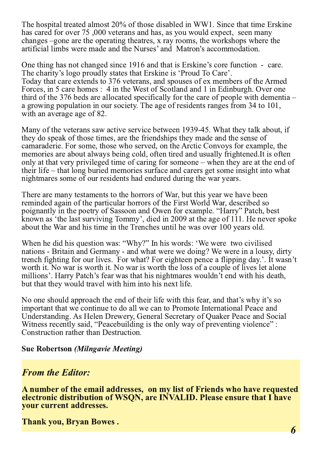The hospital treated almost 20% of those disabled in WW1. Since that time Erskine has cared for over 75,000 veterans and has, as you would expect, seen many changes –gone are the operating theatres, x ray rooms, the workshops where the artificial limbs were made and the Nurses' and Matron's accommodation.

One thing has not changed since 1916 and that is Erskine's core function - care. The charity's logo proudly states that Erskine is 'Proud To Care'. Today that care extends to 376 veterans, and spouses of ex members of the Armed Forces, in 5 care homes : 4 in the West of Scotland and 1 in Edinburgh. Over one third of the 376 beds are allocated specifically for the care of people with dementia  $$ a growing population in our society. The age of residents ranges from 34 to 101, with an average age of 82.

Many of the veterans saw active service between 1939-45. What they talk about, if they do speak of those times, are the friendships they made and the sense of camaraderie. For some, those who served, on the Arctic Convoys for example, the memories are about always being cold, often tired and usually frightened. It is often only at that very privileged time of caring for someone – when they are at the end of their life – that long buried memories surface and carers get some insight into what nightmares some of our residents had endured during the war years.

There are many testaments to the horrors of War, but this year we have been reminded again of the particular horrors of the First World War, described so poignantly in the poetry of Sassoon and Owen for example. "Harry" Patch, best known as 'the last surviving Tommy', died in 2009 at the age of 111. He never spoke about the War and his time in the Trenches until he was over 100 years old.

When he did his question was: "Why?" In his words: 'We were two civilised nations - Britain and Germany - and what were we doing? We were in a lousy, dirty trench fighting for our lives. For what? For eighteen pence a flipping day.'. It wasn't worth it. No war is worth it. No war is worth the loss of a couple of lives let alone millions'. Harry Patch's fear was that his nightmares wouldn't end with his death, but that they would travel with him into his next life.

No one should approach the end of their life with this fear, and that's why it's so important that we continue to do all we can to Promote International Peace and Understanding. As Helen Drewery, General Secretary of Quaker Peace and Social Witness recently said, "Peacebuilding is the only way of preventing violence": Construction rather than Destruction.

**Sue Robertson (Milngavie Meeting)** 

## **From the Editor:**

A number of the email addresses, on my list of Friends who have requested electronic distribution of WSQN, are INVALID. Please ensure that I have vour current addresses.

**Thank you, Bryan Bowes.**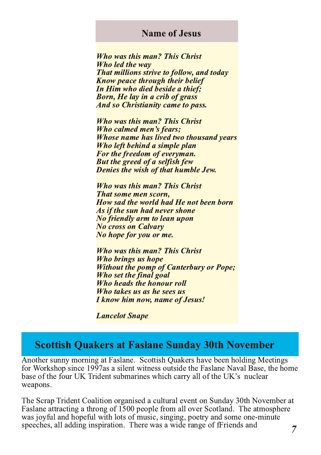### **Name of Jesus**

**Who was this man? This Christ** Who led the way **That millions strive to follow, and today Know peace through their belief** In Him who died beside a thief: **Born, He lay in a crib of grass And so Christianity came to pass.** 

**Who was this man? This Christ** Who calmed men's fears: Whose name has lived two thousand years Who left behind a simple plan For the freedom of everyman. **But the greed of a selfish few** Denies the wish of that humble Jew.

**Who was this man? This Christ** That some men scorn, How sad the world had He not been born As if the sun had never shone **No friendly arm to lean upon No cross on Calvary** No hope for you or me.

**Who was this man? This Christ** Who brings us hope **Without the pomp of Canterbury or Pope;** Who set the final goal Who heads the honour roll Who takes us as he sees us **I know him now, name of Jesus!** 

**Lancelot Snape** 

## **Scottish Quakers at Faslane Sunday 30th November**

Another sunny morning at Faslane. Scottish Quakers have been holding Meetings for Workshop since 1997as a silent witness outside the Faslane Naval Base, the home base of the four UK Trident submarines which carry all of the UK's nuclear weapons.

The Scrap Trident Coalition organised a cultural event on Sunday 30th November at Faslane attracting a throng of 1500 people from all over Scotland. The atmosphere was joyful and hopeful with lots of music, singing, poetry and some one-minute speeches, all adding inspiration. There was a wide range of fFriends and